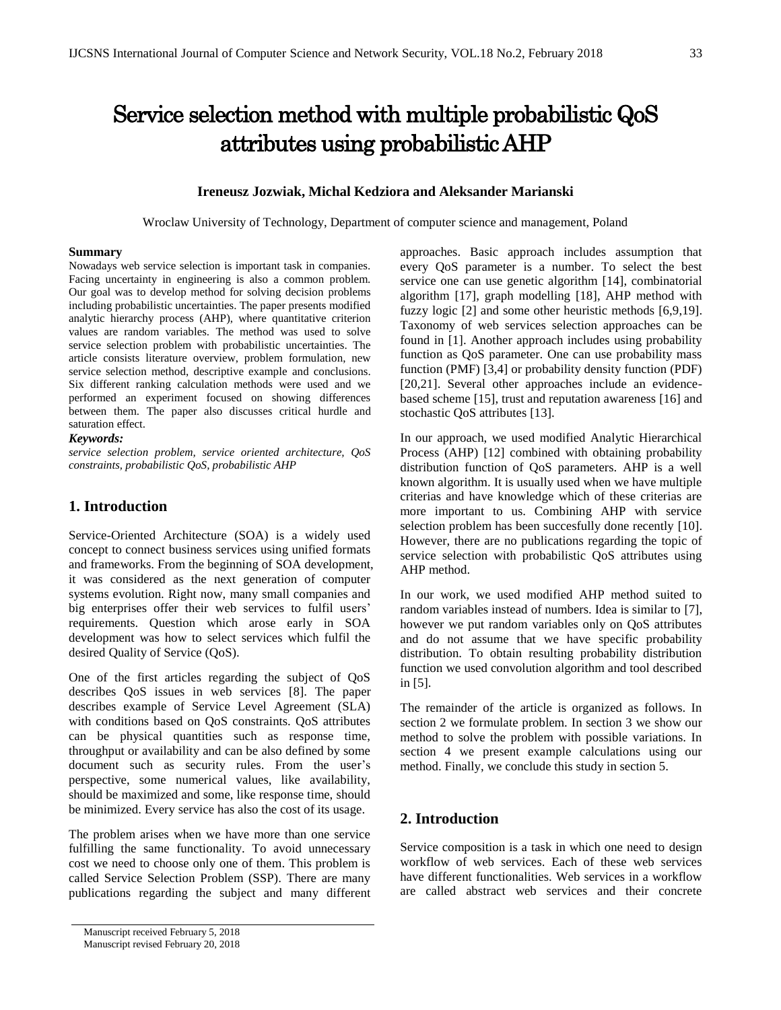# Service selection method with multiple probabilistic QoS attributes using probabilistic AHP

#### **Ireneusz Jozwiak, Michal Kedziora and Aleksander Marianski**

Wroclaw University of Technology, Department of computer science and management, Poland

#### **Summary**

Nowadays web service selection is important task in companies. Facing uncertainty in engineering is also a common problem. Our goal was to develop method for solving decision problems including probabilistic uncertainties. The paper presents modified analytic hierarchy process (AHP), where quantitative criterion values are random variables. The method was used to solve service selection problem with probabilistic uncertainties. The article consists literature overview, problem formulation, new service selection method, descriptive example and conclusions. Six different ranking calculation methods were used and we performed an experiment focused on showing differences between them. The paper also discusses critical hurdle and saturation effect.

#### *Keywords:*

*service selection problem, service oriented architecture, QoS constraints, probabilistic QoS, probabilistic AHP*

# **1. Introduction**

Service-Oriented Architecture (SOA) is a widely used concept to connect business services using unified formats and frameworks. From the beginning of SOA development, it was considered as the next generation of computer systems evolution. Right now, many small companies and big enterprises offer their web services to fulfil users' requirements. Question which arose early in SOA development was how to select services which fulfil the desired Quality of Service (QoS).

One of the first articles regarding the subject of QoS describes QoS issues in web services [8]. The paper describes example of Service Level Agreement (SLA) with conditions based on QoS constraints. QoS attributes can be physical quantities such as response time, throughput or availability and can be also defined by some document such as security rules. From the user's perspective, some numerical values, like availability, should be maximized and some, like response time, should be minimized. Every service has also the cost of its usage.

The problem arises when we have more than one service fulfilling the same functionality. To avoid unnecessary cost we need to choose only one of them. This problem is called Service Selection Problem (SSP). There are many publications regarding the subject and many different

approaches. Basic approach includes assumption that every QoS parameter is a number. To select the best service one can use genetic algorithm [14], combinatorial algorithm [17], graph modelling [18], AHP method with fuzzy logic [2] and some other heuristic methods [6,9,19]. Taxonomy of web services selection approaches can be found in [1]. Another approach includes using probability function as QoS parameter. One can use probability mass function (PMF) [3,4] or probability density function (PDF) [20,21]. Several other approaches include an evidencebased scheme [15], trust and reputation awareness [16] and stochastic QoS attributes [13].

In our approach, we used modified Analytic Hierarchical Process (AHP) [12] combined with obtaining probability distribution function of QoS parameters. AHP is a well known algorithm. It is usually used when we have multiple criterias and have knowledge which of these criterias are more important to us. Combining AHP with service selection problem has been succesfully done recently [10]. However, there are no publications regarding the topic of service selection with probabilistic QoS attributes using AHP method.

In our work, we used modified AHP method suited to random variables instead of numbers. Idea is similar to [7], however we put random variables only on QoS attributes and do not assume that we have specific probability distribution. To obtain resulting probability distribution function we used convolution algorithm and tool described in [5].

The remainder of the article is organized as follows. In section 2 we formulate problem. In section 3 we show our method to solve the problem with possible variations. In section 4 we present example calculations using our method. Finally, we conclude this study in section 5.

## **2. Introduction**

Service composition is a task in which one need to design workflow of web services. Each of these web services have different functionalities. Web services in a workflow are called abstract web services and their concrete

Manuscript received February 5, 2018 Manuscript revised February 20, 2018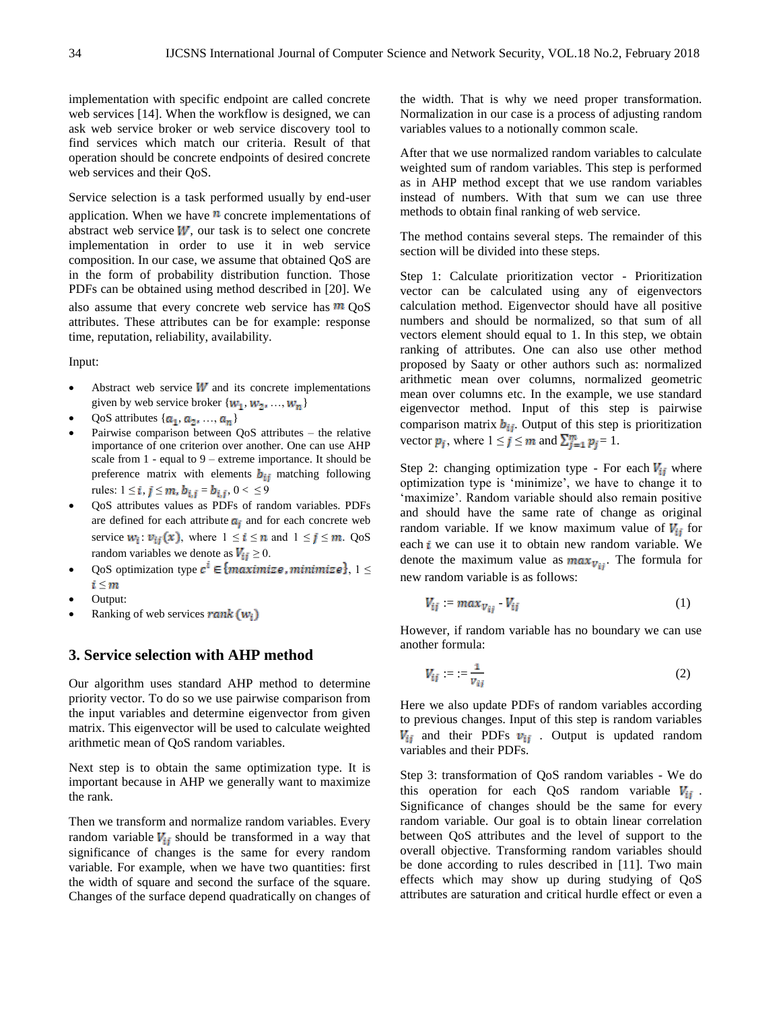implementation with specific endpoint are called concrete web services [14]. When the workflow is designed, we can ask web service broker or web service discovery tool to find services which match our criteria. Result of that operation should be concrete endpoints of desired concrete web services and their QoS.

Service selection is a task performed usually by end-user application. When we have  $\mathbf{n}$  concrete implementations of abstract web service  $W$ , our task is to select one concrete implementation in order to use it in web service composition. In our case, we assume that obtained QoS are in the form of probability distribution function. Those PDFs can be obtained using method described in [20]. We also assume that every concrete web service has  $m \cos \theta$ attributes. These attributes can be for example: response time, reputation, reliability, availability.

Input:

- Abstract web service  $W$  and its concrete implementations given by web service broker  $\{w_1, w_2, ..., w_n\}$
- QoS attributes  $\{a_1, a_2, ..., a_n\}$
- Pairwise comparison between QoS attributes the relative importance of one criterion over another. One can use AHP scale from 1 - equal to 9 – extreme importance. It should be preference matrix with elements  $\mathbf{b}_{ij}$  matching following rules:  $1 \le i, j \le m, b_{i,j} = b_{i,j}, 0 < \le 9$
- QoS attributes values as PDFs of random variables. PDFs are defined for each attribute  $a_i$  and for each concrete web service  $w_i$ :  $v_{ij}(x)$ , where  $1 \le i \le n$  and  $1 \le j \le m$ . QoS random variables we denote as  $V_{ij} \geq 0$ .
- QoS optimization type  $c^i \in \{maximize, minimize\}, 1 \leq$ i ≤ m
- Output:
- Ranking of web services rank  $(w_i)$

## **3. Service selection with AHP method**

Our algorithm uses standard AHP method to determine priority vector. To do so we use pairwise comparison from the input variables and determine eigenvector from given matrix. This eigenvector will be used to calculate weighted arithmetic mean of QoS random variables.

Next step is to obtain the same optimization type. It is important because in AHP we generally want to maximize the rank.

Then we transform and normalize random variables. Every random variable  $V_{ij}$  should be transformed in a way that significance of changes is the same for every random variable. For example, when we have two quantities: first the width of square and second the surface of the square. Changes of the surface depend quadratically on changes of the width. That is why we need proper transformation. Normalization in our case is a process of adjusting random variables values to a notionally common scale.

After that we use normalized random variables to calculate weighted sum of random variables. This step is performed as in AHP method except that we use random variables instead of numbers. With that sum we can use three methods to obtain final ranking of web service.

The method contains several steps. The remainder of this section will be divided into these steps.

Step 1: Calculate prioritization vector - Prioritization vector can be calculated using any of eigenvectors calculation method. Eigenvector should have all positive numbers and should be normalized, so that sum of all vectors element should equal to 1. In this step, we obtain ranking of attributes. One can also use other method proposed by Saaty or other authors such as: normalized arithmetic mean over columns, normalized geometric mean over columns etc. In the example, we use standard eigenvector method. Input of this step is pairwise comparison matrix  $b_{ij}$ . Output of this step is prioritization vector  $p_j$ , where  $1 \le j \le m$  and  $\sum_{j=1}^m p_j = 1$ .

Step 2: changing optimization type - For each  $V_{ij}$  where optimization type is 'minimize', we have to change it to 'maximize'. Random variable should also remain positive and should have the same rate of change as original random variable. If we know maximum value of  $V_{ii}$  for each  $i$  we can use it to obtain new random variable. We denote the maximum value as  $max_{V_{ij}}$ . The formula for new random variable is as follows:

$$
V_{ij} = max_{V_{ij}} V_{ij}
$$
 (1)

However, if random variable has no boundary we can use another formula:

$$
V_{ij} := \frac{1}{v_{ij}} \tag{2}
$$

Here we also update PDFs of random variables according to previous changes. Input of this step is random variables  $V_{ij}$  and their PDFs  $v_{ij}$ . Output is updated random variables and their PDFs.

Step 3: transformation of QoS random variables - We do this operation for each QoS random variable  $V_{ij}$ . Significance of changes should be the same for every random variable. Our goal is to obtain linear correlation between QoS attributes and the level of support to the overall objective. Transforming random variables should be done according to rules described in [11]. Two main effects which may show up during studying of QoS attributes are saturation and critical hurdle effect or even a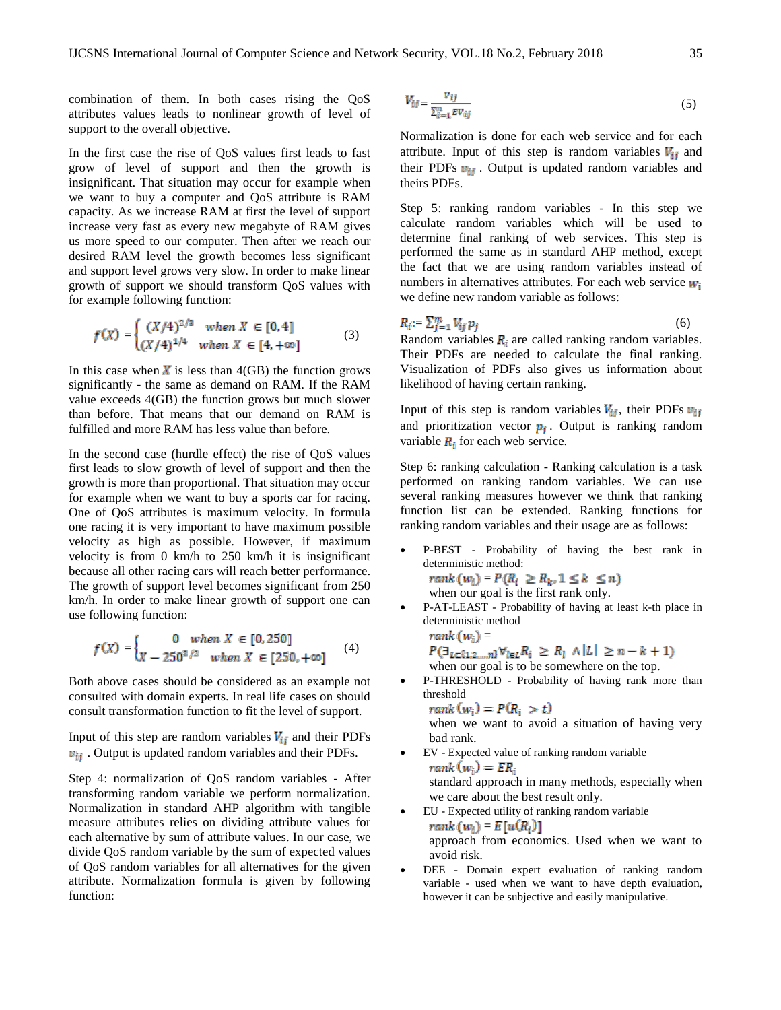combination of them. In both cases rising the QoS attributes values leads to nonlinear growth of level of support to the overall objective.

In the first case the rise of QoS values first leads to fast grow of level of support and then the growth is insignificant. That situation may occur for example when we want to buy a computer and QoS attribute is RAM capacity. As we increase RAM at first the level of support increase very fast as every new megabyte of RAM gives us more speed to our computer. Then after we reach our desired RAM level the growth becomes less significant and support level grows very slow. In order to make linear growth of support we should transform QoS values with for example following function:

$$
f(X) = \begin{cases} (X/4)^{2/3} & when X \in [0, 4] \\ (X/4)^{1/4} & when X \in [4, +\infty] \end{cases}
$$
 (3)

In this case when  $\boldsymbol{X}$  is less than 4(GB) the function grows significantly - the same as demand on RAM. If the RAM value exceeds 4(GB) the function grows but much slower than before. That means that our demand on RAM is fulfilled and more RAM has less value than before.

In the second case (hurdle effect) the rise of QoS values first leads to slow growth of level of support and then the growth is more than proportional. That situation may occur for example when we want to buy a sports car for racing. One of QoS attributes is maximum velocity. In formula one racing it is very important to have maximum possible velocity as high as possible. However, if maximum velocity is from 0 km/h to 250 km/h it is insignificant because all other racing cars will reach better performance. The growth of support level becomes significant from 250 km/h. In order to make linear growth of support one can use following function:

$$
f(X) = \begin{cases} 0 & when X \in [0, 250] \\ X - 250^{3/2} & when X \in [250, +\infty] \end{cases}
$$
 (4)

Both above cases should be considered as an example not consulted with domain experts. In real life cases on should consult transformation function to fit the level of support.

Input of this step are random variables  $V_{ij}$  and their PDFs  $v_{ij}$ . Output is updated random variables and their PDFs.

Step 4: normalization of QoS random variables - After transforming random variable we perform normalization. Normalization in standard AHP algorithm with tangible measure attributes relies on dividing attribute values for each alternative by sum of attribute values. In our case, we divide QoS random variable by the sum of expected values of QoS random variables for all alternatives for the given attribute. Normalization formula is given by following function:

$$
V_{ij} = \frac{v_{ij}}{\sum_{i=1}^{n} EV_{ij}}\tag{5}
$$

Normalization is done for each web service and for each attribute. Input of this step is random variables  $V_{ij}$  and their PDFs  $v_{ij}$ . Output is updated random variables and theirs PDFs.

Step 5: ranking random variables - In this step we calculate random variables which will be used to determine final ranking of web services. This step is performed the same as in standard AHP method, except the fact that we are using random variables instead of numbers in alternatives attributes. For each web service  $w_i$ we define new random variable as follows:

$$
R_i := \sum_{j=1}^m V_{ij} p_j \tag{6}
$$

Random variables  $R_i$  are called ranking random variables. Their PDFs are needed to calculate the final ranking. Visualization of PDFs also gives us information about likelihood of having certain ranking.

Input of this step is random variables  $V_{ij}$ , their PDFs  $v_{ij}$ and prioritization vector  $p_i$ . Output is ranking random variable  $R_i$  for each web service.

Step 6: ranking calculation - Ranking calculation is a task performed on ranking random variables. We can use several ranking measures however we think that ranking function list can be extended. Ranking functions for ranking random variables and their usage are as follows:

- P-BEST Probability of having the best rank in deterministic method:  $rank(w_i) = P(R_i \ge R_k, 1 \le k \le n)$ when our goal is the first rank only.
- P-AT-LEAST Probability of having at least k-th place in deterministic method  $rank(w_i) =$  $P(\exists_{L\in\{1,2,\ldots,n\}}\forall_{l\in L}R_l \geq R_l \land |L| \geq n-k+1)$

when our goal is to be somewhere on the top.

 P-THRESHOLD - Probability of having rank more than threshold

 $rank(w_i) = P(R_i > t)$ 

when we want to avoid a situation of having very bad rank.

- EV Expected value of ranking random variable  $rank(w_i) = ER_i$ standard approach in many methods, especially when we care about the best result only.
- EU Expected utility of ranking random variable  $rank(w_i) = E[u(R_i)]$ approach from economics. Used when we want to avoid risk.
- DEE Domain expert evaluation of ranking random variable - used when we want to have depth evaluation, however it can be subjective and easily manipulative.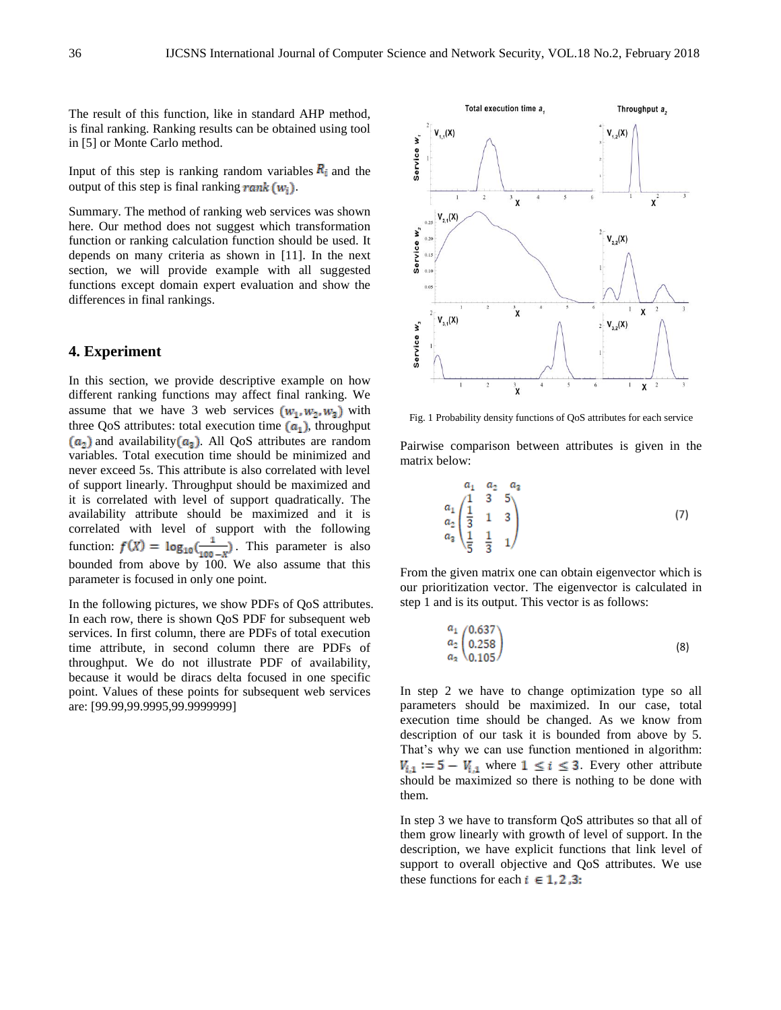The result of this function, like in standard AHP method, is final ranking. Ranking results can be obtained using tool in [5] or Monte Carlo method.

Input of this step is ranking random variables  $R_i$  and the output of this step is final ranking rank  $(w_i)$ .

Summary. The method of ranking web services was shown here. Our method does not suggest which transformation function or ranking calculation function should be used. It depends on many criteria as shown in [11]. In the next section, we will provide example with all suggested functions except domain expert evaluation and show the differences in final rankings.

# **4. Experiment**

In this section, we provide descriptive example on how different ranking functions may affect final ranking. We assume that we have 3 web services  $(w_1, w_2, w_3)$  with three QoS attributes: total execution time  $(a_1)$ , throughput  $(a_2)$  and availability  $(a_3)$ . All QoS attributes are random variables. Total execution time should be minimized and never exceed 5s. This attribute is also correlated with level of support linearly. Throughput should be maximized and it is correlated with level of support quadratically. The availability attribute should be maximized and it is correlated with level of support with the following function:  $f(X) = \log_{10}(\frac{1}{100 - X})$ . This parameter is also bounded from above by 100. We also assume that this parameter is focused in only one point.

In the following pictures, we show PDFs of QoS attributes. In each row, there is shown QoS PDF for subsequent web services. In first column, there are PDFs of total execution time attribute, in second column there are PDFs of throughput. We do not illustrate PDF of availability, because it would be diracs delta focused in one specific point. Values of these points for subsequent web services are: [99.99,99.9995,99.9999999]



Fig. 1 Probability density functions of QoS attributes for each service

Pairwise comparison between attributes is given in the matrix below:

$$
\begin{array}{ccc}\n & a_1 & a_2 & a_3 \\
a_1 & 1 & 3 & 5 \\
a_2 & \frac{1}{3} & 1 & 3 \\
a_3 & \frac{1}{5} & \frac{1}{3} & 1\n\end{array}
$$
\n(7)

From the given matrix one can obtain eigenvector which is our prioritization vector. The eigenvector is calculated in step 1 and is its output. This vector is as follows:

$$
\begin{array}{c}\n a_1 \\
 a_2 \\
 a_3 \\
 0.105\n\end{array}
$$
\n(8)

In step 2 we have to change optimization type so all parameters should be maximized. In our case, total execution time should be changed. As we know from description of our task it is bounded from above by 5. That's why we can use function mentioned in algorithm:  $V_{i,1} := 5 - V_{i,1}$  where  $1 \leq i \leq 3$ . Every other attribute should be maximized so there is nothing to be done with them.

In step 3 we have to transform QoS attributes so that all of them grow linearly with growth of level of support. In the description, we have explicit functions that link level of support to overall objective and QoS attributes. We use these functions for each  $i \in 1, 2, 3$ :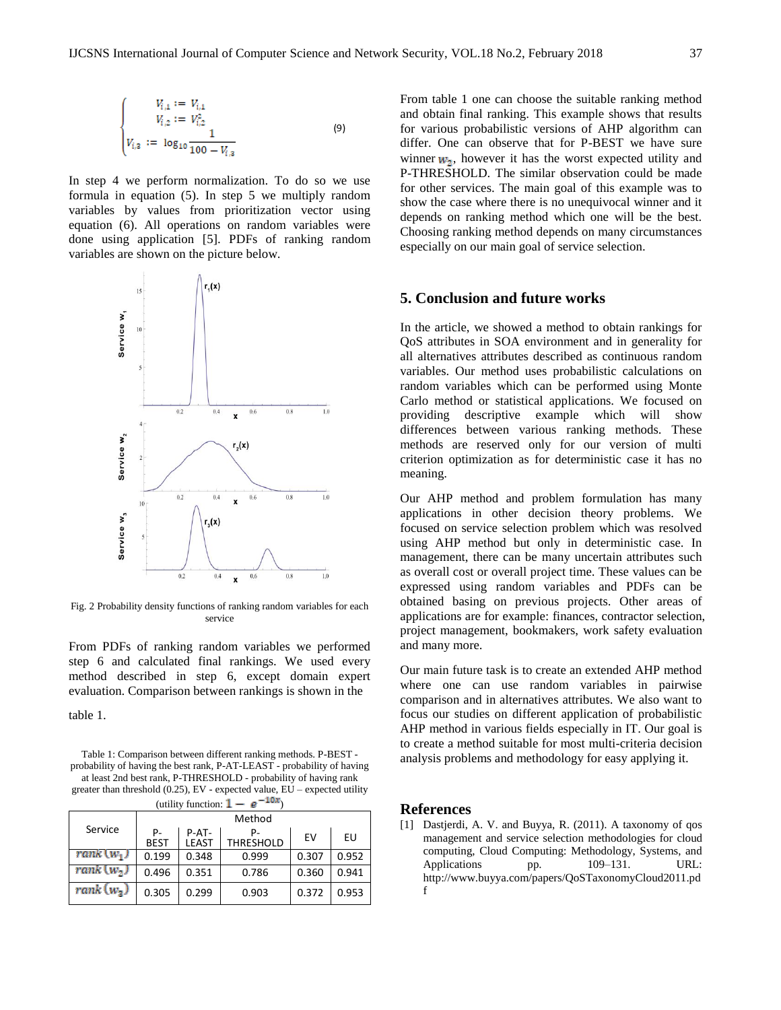$$
\begin{cases}\nV_{i,1} := V_{i,1} \\
V_{i,2} := V_{i,2}^2 \\
V_{i,3} := \log_{10} \frac{1}{100 - V_{i,3}}\n\end{cases}
$$
\n(9)

In step 4 we perform normalization. To do so we use formula in equation (5). In step 5 we multiply random variables by values from prioritization vector using equation (6). All operations on random variables were done using application [5]. PDFs of ranking random variables are shown on the picture below.



Fig. 2 Probability density functions of ranking random variables for each service

From PDFs of ranking random variables we performed step 6 and calculated final rankings. We used every method described in step 6, except domain expert evaluation. Comparison between rankings is shown in the

table 1.

Table 1: Comparison between different ranking methods. P-BEST probability of having the best rank, P-AT-LEAST - probability of having at least 2nd best rank, P-THRESHOLD - probability of having rank greater than threshold (0.25), EV - expected value, EU – expected utility (utility function:  $1 - e^{-10x}$ )

| $\mu$ uunty runcuon. T |                   |                       |                        |       |       |
|------------------------|-------------------|-----------------------|------------------------|-------|-------|
| Service                | Method            |                       |                        |       |       |
|                        | Р-<br><b>BEST</b> | P-AT-<br><b>LEAST</b> | P-<br><b>THRESHOLD</b> | EV    | EU    |
| $rank(w_1)$            | 0.199             | 0.348                 | 0.999                  | 0.307 | 0.952 |
| rank (w.)              | 0.496             | 0.351                 | 0.786                  | 0.360 | 0.941 |
| $rank(w_3)$            | 0.305             | 0.299                 | 0.903                  | 0.372 | 0.953 |

From table 1 one can choose the suitable ranking method and obtain final ranking. This example shows that results for various probabilistic versions of AHP algorithm can differ. One can observe that for P-BEST we have sure winner  $w_2$ , however it has the worst expected utility and P-THRESHOLD. The similar observation could be made for other services. The main goal of this example was to show the case where there is no unequivocal winner and it depends on ranking method which one will be the best. Choosing ranking method depends on many circumstances especially on our main goal of service selection.

## **5. Conclusion and future works**

In the article, we showed a method to obtain rankings for QoS attributes in SOA environment and in generality for all alternatives attributes described as continuous random variables. Our method uses probabilistic calculations on random variables which can be performed using Monte Carlo method or statistical applications. We focused on providing descriptive example which will show differences between various ranking methods. These methods are reserved only for our version of multi criterion optimization as for deterministic case it has no meaning.

Our AHP method and problem formulation has many applications in other decision theory problems. We focused on service selection problem which was resolved using AHP method but only in deterministic case. In management, there can be many uncertain attributes such as overall cost or overall project time. These values can be expressed using random variables and PDFs can be obtained basing on previous projects. Other areas of applications are for example: finances, contractor selection, project management, bookmakers, work safety evaluation and many more.

Our main future task is to create an extended AHP method where one can use random variables in pairwise comparison and in alternatives attributes. We also want to focus our studies on different application of probabilistic AHP method in various fields especially in IT. Our goal is to create a method suitable for most multi-criteria decision analysis problems and methodology for easy applying it.

#### **References**

[1] Dastjerdi, A. V. and Buyya, R. (2011). A taxonomy of gos management and service selection methodologies for cloud computing, Cloud Computing: Methodology, Systems, and Applications pp.  $109-131$ . URL: [http://www.buyya.com/papers/QoSTaxonomyCloud2011.pd](http://www.buyya.com/papers/QoSTaxonomyCloud2011.pdf) [f](http://www.buyya.com/papers/QoSTaxonomyCloud2011.pdf)